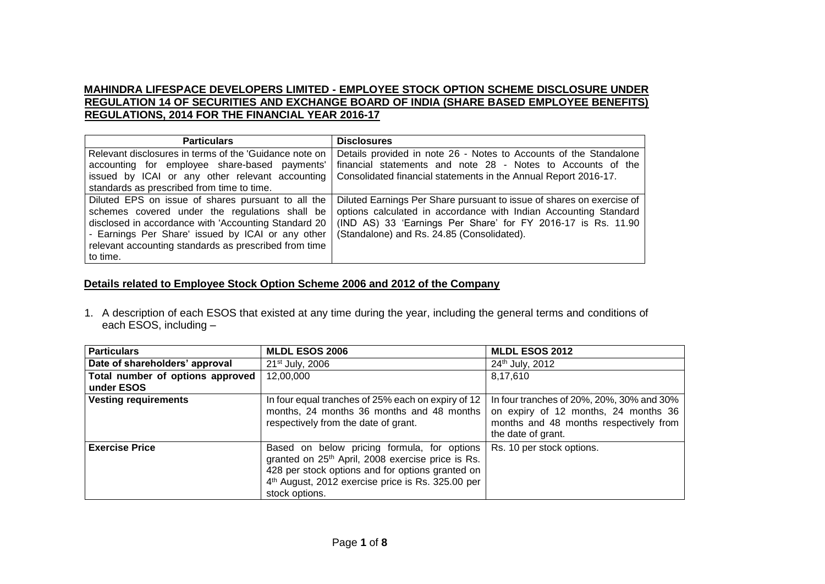## **MAHINDRA LIFESPACE DEVELOPERS LIMITED - EMPLOYEE STOCK OPTION SCHEME DISCLOSURE UNDER REGULATION 14 OF SECURITIES AND EXCHANGE BOARD OF INDIA (SHARE BASED EMPLOYEE BENEFITS) REGULATIONS, 2014 FOR THE FINANCIAL YEAR 2016-17**

| <b>Particulars</b>                                                                                                                                                                                                                                                                     | <b>Disclosures</b>                                                                                                                                                                                                                                      |
|----------------------------------------------------------------------------------------------------------------------------------------------------------------------------------------------------------------------------------------------------------------------------------------|---------------------------------------------------------------------------------------------------------------------------------------------------------------------------------------------------------------------------------------------------------|
| Relevant disclosures in terms of the 'Guidance note on<br>accounting for employee share-based payments'<br>issued by ICAI or any other relevant accounting<br>standards as prescribed from time to time.                                                                               | Details provided in note 26 - Notes to Accounts of the Standalone<br>financial statements and note 28 - Notes to Accounts of the<br>Consolidated financial statements in the Annual Report 2016-17.                                                     |
| Diluted EPS on issue of shares pursuant to all the<br>schemes covered under the regulations shall be<br>disclosed in accordance with 'Accounting Standard 20<br>- Earnings Per Share' issued by ICAI or any other<br>relevant accounting standards as prescribed from time<br>to time. | Diluted Earnings Per Share pursuant to issue of shares on exercise of<br>options calculated in accordance with Indian Accounting Standard<br>(IND AS) 33 'Earnings Per Share' for FY 2016-17 is Rs. 11.90<br>(Standalone) and Rs. 24.85 (Consolidated). |

### **Details related to Employee Stock Option Scheme 2006 and 2012 of the Company**

1. A description of each ESOS that existed at any time during the year, including the general terms and conditions of each ESOS, including –

| <b>Particulars</b>                             | <b>MLDL ESOS 2006</b>                                                                                                                                                                                                                               | <b>MLDL ESOS 2012</b>                                                                                                                             |
|------------------------------------------------|-----------------------------------------------------------------------------------------------------------------------------------------------------------------------------------------------------------------------------------------------------|---------------------------------------------------------------------------------------------------------------------------------------------------|
| Date of shareholders' approval                 | 21 <sup>st</sup> July, 2006                                                                                                                                                                                                                         | 24th July, 2012                                                                                                                                   |
| Total number of options approved<br>under ESOS | 12,00,000                                                                                                                                                                                                                                           | 8,17,610                                                                                                                                          |
| <b>Vesting requirements</b>                    | In four equal tranches of 25% each on expiry of 12<br>months, 24 months 36 months and 48 months<br>respectively from the date of grant.                                                                                                             | In four tranches of 20%, 20%, 30% and 30%<br>on expiry of 12 months, 24 months 36<br>months and 48 months respectively from<br>the date of grant. |
| <b>Exercise Price</b>                          | Based on below pricing formula, for options<br>granted on 25 <sup>th</sup> April, 2008 exercise price is Rs.<br>428 per stock options and for options granted on<br>4 <sup>th</sup> August, 2012 exercise price is Rs. 325.00 per<br>stock options. | Rs. 10 per stock options.                                                                                                                         |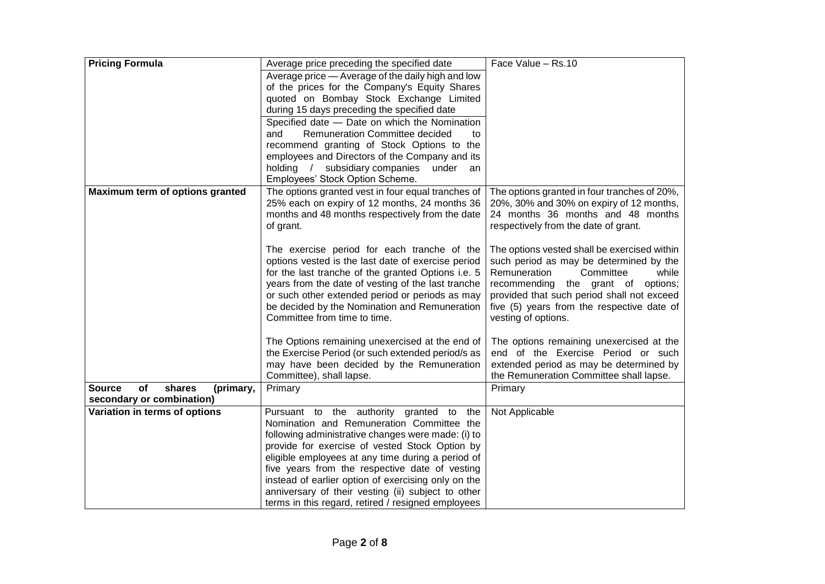| <b>Pricing Formula</b>                     | Average price preceding the specified date                                                                | Face Value - Rs.10                           |
|--------------------------------------------|-----------------------------------------------------------------------------------------------------------|----------------------------------------------|
|                                            | Average price - Average of the daily high and low                                                         |                                              |
|                                            | of the prices for the Company's Equity Shares                                                             |                                              |
|                                            | quoted on Bombay Stock Exchange Limited                                                                   |                                              |
|                                            | during 15 days preceding the specified date                                                               |                                              |
|                                            | Specified date - Date on which the Nomination                                                             |                                              |
|                                            | <b>Remuneration Committee decided</b><br>and<br>to                                                        |                                              |
|                                            | recommend granting of Stock Options to the                                                                |                                              |
|                                            | employees and Directors of the Company and its                                                            |                                              |
|                                            | holding / subsidiary companies<br>under an                                                                |                                              |
| Maximum term of options granted            | Employees' Stock Option Scheme.<br>The options granted vest in four equal tranches of                     | The options granted in four tranches of 20%, |
|                                            | 25% each on expiry of 12 months, 24 months 36                                                             | 20%, 30% and 30% on expiry of 12 months,     |
|                                            | months and 48 months respectively from the date                                                           | 24 months 36 months and 48 months            |
|                                            | of grant.                                                                                                 | respectively from the date of grant.         |
|                                            |                                                                                                           |                                              |
|                                            | The exercise period for each tranche of the                                                               | The options vested shall be exercised within |
|                                            | options vested is the last date of exercise period                                                        | such period as may be determined by the      |
|                                            | for the last tranche of the granted Options i.e. 5                                                        | Remuneration<br>Committee<br>while           |
|                                            | years from the date of vesting of the last tranche                                                        | recommending the grant of<br>options;        |
|                                            | or such other extended period or periods as may                                                           | provided that such period shall not exceed   |
|                                            | be decided by the Nomination and Remuneration                                                             | five (5) years from the respective date of   |
|                                            | Committee from time to time.                                                                              | vesting of options.                          |
|                                            | The Options remaining unexercised at the end of                                                           | The options remaining unexercised at the     |
|                                            | the Exercise Period (or such extended period/s as                                                         | end of the Exercise Period or such           |
|                                            | may have been decided by the Remuneration                                                                 | extended period as may be determined by      |
|                                            | Committee), shall lapse.                                                                                  | the Remuneration Committee shall lapse.      |
| of<br>shares<br><b>Source</b><br>(primary, | Primary                                                                                                   | Primary                                      |
| secondary or combination)                  |                                                                                                           |                                              |
| Variation in terms of options              | Pursuant to the authority granted to the                                                                  | Not Applicable                               |
|                                            | Nomination and Remuneration Committee the                                                                 |                                              |
|                                            | following administrative changes were made: (i) to                                                        |                                              |
|                                            | provide for exercise of vested Stock Option by                                                            |                                              |
|                                            | eligible employees at any time during a period of                                                         |                                              |
|                                            | five years from the respective date of vesting                                                            |                                              |
|                                            | instead of earlier option of exercising only on the<br>anniversary of their vesting (ii) subject to other |                                              |
|                                            | terms in this regard, retired / resigned employees                                                        |                                              |
|                                            |                                                                                                           |                                              |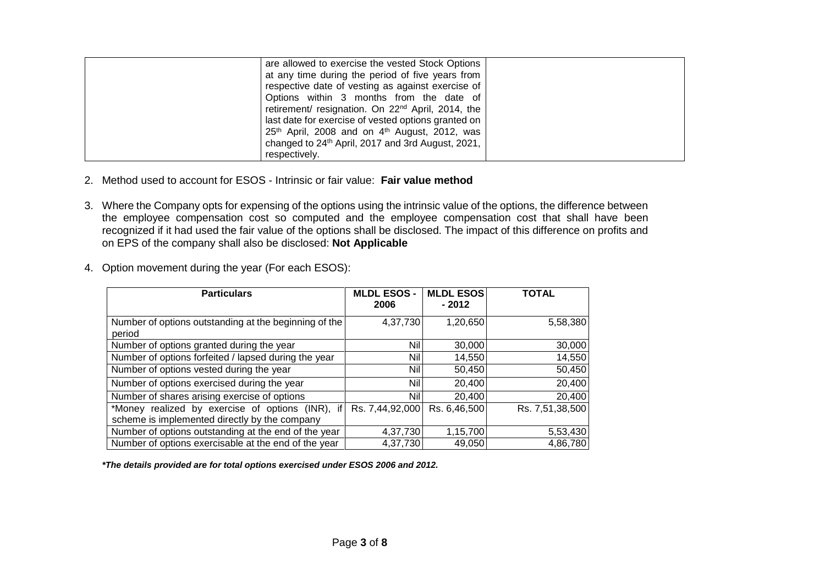| are allowed to exercise the vested Stock Options<br>at any time during the period of five years from<br>respective date of vesting as against exercise of<br>Options within 3 months from the date of<br>retirement/ resignation. On 22 <sup>nd</sup> April, 2014, the<br>last date for exercise of vested options granted on |  |
|-------------------------------------------------------------------------------------------------------------------------------------------------------------------------------------------------------------------------------------------------------------------------------------------------------------------------------|--|
| 25 <sup>th</sup> April, 2008 and on 4 <sup>th</sup> August, 2012, was<br>changed to 24 <sup>th</sup> April, 2017 and 3rd August, 2021,                                                                                                                                                                                        |  |
| respectively.                                                                                                                                                                                                                                                                                                                 |  |

- 2. Method used to account for ESOS Intrinsic or fair value: **Fair value method**
- 3. Where the Company opts for expensing of the options using the intrinsic value of the options, the difference between the employee compensation cost so computed and the employee compensation cost that shall have been recognized if it had used the fair value of the options shall be disclosed. The impact of this difference on profits and on EPS of the company shall also be disclosed: **Not Applicable**
- 4. Option movement during the year (For each ESOS):

| <b>Particulars</b>                                    | <b>MLDL ESOS -</b><br>2006 | <b>MLDL ESOS</b><br>$-2012$ | <b>TOTAL</b>    |
|-------------------------------------------------------|----------------------------|-----------------------------|-----------------|
|                                                       |                            |                             |                 |
| Number of options outstanding at the beginning of the | 4,37,730                   | 1,20,650                    | 5,58,380        |
| period                                                |                            |                             |                 |
| Number of options granted during the year             | Nil                        | 30,000                      | 30,000          |
| Number of options forfeited / lapsed during the year  | Nil                        | 14,550                      | 14,550          |
| Number of options vested during the year              | Nil                        | 50,450                      | 50,450          |
| Number of options exercised during the year           | Nill                       | 20,400                      | 20,400          |
| Number of shares arising exercise of options          | Nill                       | 20,400                      | 20,400          |
| *Money realized by exercise of options (INR),<br>if   | Rs. 7,44,92,000            | Rs. 6,46,500                | Rs. 7,51,38,500 |
| scheme is implemented directly by the company         |                            |                             |                 |
| Number of options outstanding at the end of the year  | 4,37,730                   | 1,15,700                    | 5,53,430        |
| Number of options exercisable at the end of the year  | 4,37,730                   | 49,050                      | 4,86,780        |

*\*The details provided are for total options exercised under ESOS 2006 and 2012.*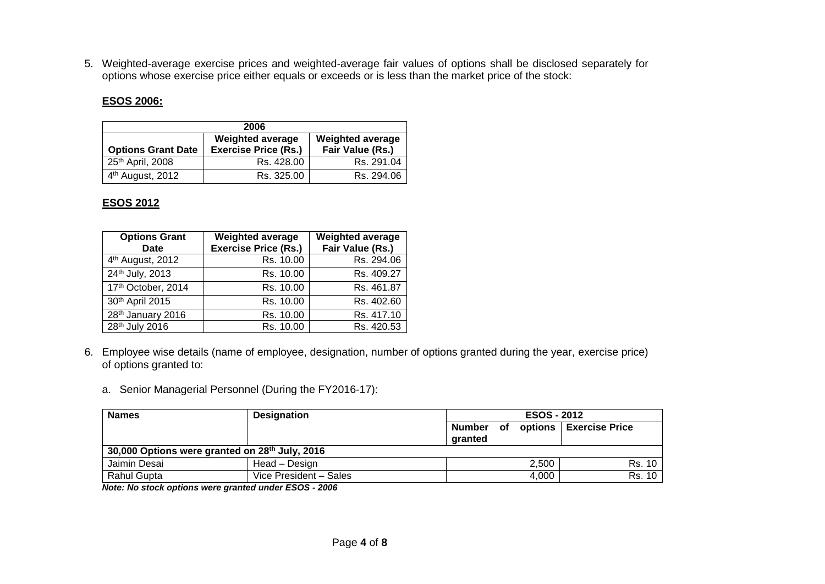5. Weighted-average exercise prices and weighted-average fair values of options shall be disclosed separately for options whose exercise price either equals or exceeds or is less than the market price of the stock:

## **ESOS 2006:**

| 2006                                                                                                                               |            |            |  |  |
|------------------------------------------------------------------------------------------------------------------------------------|------------|------------|--|--|
| <b>Weighted average</b><br><b>Weighted average</b><br><b>Exercise Price (Rs.)</b><br>Fair Value (Rs.)<br><b>Options Grant Date</b> |            |            |  |  |
| 25th April, 2008                                                                                                                   | Rs. 428.00 | Rs. 291.04 |  |  |
| 4 <sup>th</sup> August, 2012                                                                                                       | Rs. 325.00 | Rs. 294.06 |  |  |

# **ESOS 2012**

| <b>Options Grant</b><br><b>Date</b> | <b>Weighted average</b><br><b>Exercise Price (Rs.)</b> | <b>Weighted average</b><br>Fair Value (Rs.) |
|-------------------------------------|--------------------------------------------------------|---------------------------------------------|
| 4th August, 2012                    | Rs. 10.00                                              | Rs. 294.06                                  |
| 24th July, 2013                     | Rs. 10.00                                              | Rs. 409.27                                  |
| 17th October, 2014                  | Rs. 10.00                                              | Rs. 461.87                                  |
| 30th April 2015                     | Rs. 10.00                                              | Rs. 402.60                                  |
| 28th January 2016                   | Rs. 10.00                                              | Rs. 417.10                                  |
| 28th July 2016                      | Rs. 10.00                                              | Rs. 420.53                                  |

- 6. Employee wise details (name of employee, designation, number of options granted during the year, exercise price) of options granted to:
	- a. Senior Managerial Personnel (During the FY2016-17):

| <b>Names</b>                                               | <b>Designation</b>     | <b>ESOS - 2012</b>   |  |       |                          |
|------------------------------------------------------------|------------------------|----------------------|--|-------|--------------------------|
|                                                            |                        | Number of<br>granted |  |       | options   Exercise Price |
| 30,000 Options were granted on 28 <sup>th</sup> July, 2016 |                        |                      |  |       |                          |
| Jaimin Desai                                               | Head - Design          |                      |  | 2.500 | Rs. 10                   |
| <b>Rahul Gupta</b>                                         | Vice President - Sales |                      |  | 4,000 | Rs. 10                   |

*Note: No stock options were granted under ESOS - 2006*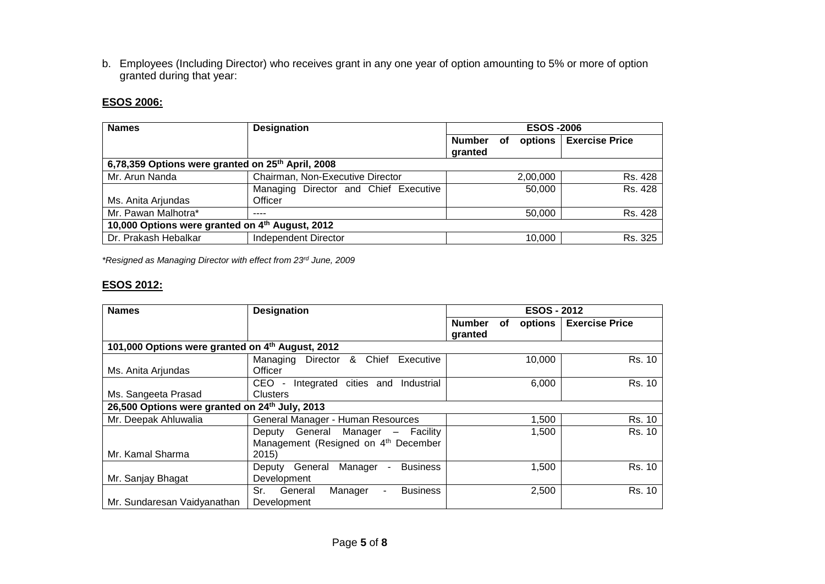b. Employees (Including Director) who receives grant in any one year of option amounting to 5% or more of option granted during that year:

### **ESOS 2006:**

| <b>Names</b>                                                  | <b>Designation</b>                    | <b>ESOS-2006</b>     |  |                |                       |
|---------------------------------------------------------------|---------------------------------------|----------------------|--|----------------|-----------------------|
|                                                               |                                       | Number of<br>granted |  | <b>options</b> | <b>Exercise Price</b> |
| 6,78,359 Options were granted on 25 <sup>th</sup> April, 2008 |                                       |                      |  |                |                       |
| Mr. Arun Nanda                                                | Chairman, Non-Executive Director      |                      |  | 2,00,000       | Rs. 428               |
|                                                               | Managing Director and Chief Executive |                      |  | 50,000         | Rs. 428               |
| Ms. Anita Arjundas                                            | Officer                               |                      |  |                |                       |
| Mr. Pawan Malhotra*                                           | ----                                  |                      |  | 50,000         | Rs. 428               |
| 10,000 Options were granted on 4th August, 2012               |                                       |                      |  |                |                       |
| Dr. Prakash Hebalkar                                          | <b>Independent Director</b>           |                      |  | 10,000         | Rs. 325               |

*\*Resigned as Managing Director with effect from 23rd June, 2009*

## **ESOS 2012:**

| <b>Names</b>                                               | <b>Designation</b>                                                                                   | <b>ESOS - 2012</b>                        |                       |
|------------------------------------------------------------|------------------------------------------------------------------------------------------------------|-------------------------------------------|-----------------------|
|                                                            |                                                                                                      | <b>Number</b><br>options<br>οf<br>granted | <b>Exercise Price</b> |
| 101,000 Options were granted on 4th August, 2012           |                                                                                                      |                                           |                       |
| Ms. Anita Arjundas                                         | Director & Chief Executive<br>Managing<br>Officer                                                    | 10,000                                    | Rs. 10                |
|                                                            | Integrated cities and<br>CEO.<br>Industrial                                                          | 6,000                                     | Rs. 10                |
| Ms. Sangeeta Prasad                                        | <b>Clusters</b>                                                                                      |                                           |                       |
| 26,500 Options were granted on 24 <sup>th</sup> July, 2013 |                                                                                                      |                                           |                       |
| Mr. Deepak Ahluwalia                                       | General Manager - Human Resources                                                                    | 1,500                                     | Rs. 10                |
| Mr. Kamal Sharma                                           | General Manager<br>- Facility<br>Deputy<br>Management (Resigned on 4 <sup>th</sup> December<br>2015) | 1,500                                     | Rs. 10                |
| Mr. Sanjay Bhagat                                          | <b>Business</b><br>General<br>Manager<br>Deputy<br>$\blacksquare$<br>Development                     | 1,500                                     | Rs. 10                |
| Mr. Sundaresan Vaidyanathan                                | Sr.<br>General<br><b>Business</b><br>Manager<br>$\overline{\phantom{a}}$<br>Development              | 2,500                                     | Rs. 10                |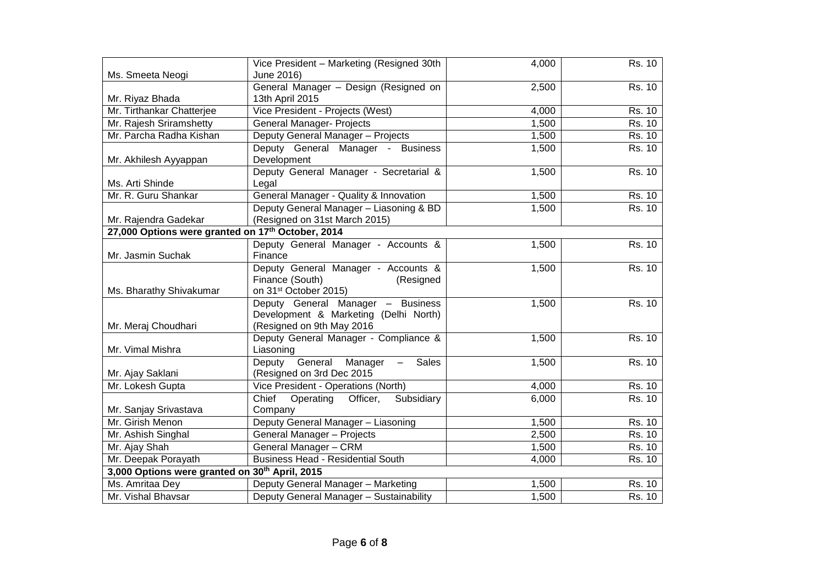| Ms. Smeeta Neogi                                  | Vice President - Marketing (Resigned 30th<br>June 2016)                                                  | 4,000 | Rs. 10 |
|---------------------------------------------------|----------------------------------------------------------------------------------------------------------|-------|--------|
|                                                   | General Manager - Design (Resigned on                                                                    | 2,500 | Rs. 10 |
| Mr. Riyaz Bhada                                   | 13th April 2015                                                                                          |       |        |
| Mr. Tirthankar Chatterjee                         | Vice President - Projects (West)                                                                         | 4,000 | Rs. 10 |
| Mr. Rajesh Sriramshetty                           | <b>General Manager- Projects</b>                                                                         | 1,500 | Rs. 10 |
| Mr. Parcha Radha Kishan                           | Deputy General Manager - Projects                                                                        | 1,500 | Rs. 10 |
| Mr. Akhilesh Ayyappan                             | Deputy General Manager - Business<br>Development                                                         | 1,500 | Rs. 10 |
| Ms. Arti Shinde                                   | Deputy General Manager - Secretarial &<br>Legal                                                          | 1,500 | Rs. 10 |
| Mr. R. Guru Shankar                               | General Manager - Quality & Innovation                                                                   | 1,500 | Rs. 10 |
| Mr. Rajendra Gadekar                              | Deputy General Manager - Liasoning & BD<br>(Resigned on 31st March 2015)                                 | 1,500 | Rs. 10 |
| 27,000 Options were granted on 17th October, 2014 |                                                                                                          |       |        |
|                                                   | Deputy General Manager - Accounts &                                                                      | 1,500 | Rs. 10 |
| Mr. Jasmin Suchak                                 | Finance                                                                                                  |       |        |
| Ms. Bharathy Shivakumar                           | Deputy General Manager - Accounts &<br>Finance (South)<br>(Resigned<br>on 31 <sup>st</sup> October 2015) | 1,500 | Rs. 10 |
| Mr. Meraj Choudhari                               | Deputy General Manager - Business<br>Development & Marketing (Delhi North)<br>(Resigned on 9th May 2016  | 1,500 | Rs. 10 |
| Mr. Vimal Mishra                                  | Deputy General Manager - Compliance &<br>Liasoning                                                       | 1,500 | Rs. 10 |
| Mr. Ajay Saklani                                  | Sales<br>General<br>Manager<br>Deputy<br>$\overline{\phantom{m}}$<br>(Resigned on 3rd Dec 2015           | 1,500 | Rs. 10 |
| Mr. Lokesh Gupta                                  | Vice President - Operations (North)                                                                      | 4,000 | Rs. 10 |
| Mr. Sanjay Srivastava                             | Chief<br>Operating<br>Officer,<br>Subsidiary<br>Company                                                  | 6,000 | Rs. 10 |
| Mr. Girish Menon                                  | Deputy General Manager - Liasoning                                                                       | 1,500 | Rs. 10 |
| Mr. Ashish Singhal                                | General Manager - Projects                                                                               | 2,500 | Rs. 10 |
| Mr. Ajay Shah                                     | General Manager - CRM                                                                                    | 1,500 | Rs. 10 |
| Mr. Deepak Porayath                               | <b>Business Head - Residential South</b>                                                                 | 4,000 | Rs. 10 |
| 3,000 Options were granted on 30th April, 2015    |                                                                                                          |       |        |
| Ms. Amritaa Dey                                   | Deputy General Manager - Marketing                                                                       | 1,500 | Rs. 10 |
| Mr. Vishal Bhavsar                                | Deputy General Manager - Sustainability                                                                  | 1,500 | Rs. 10 |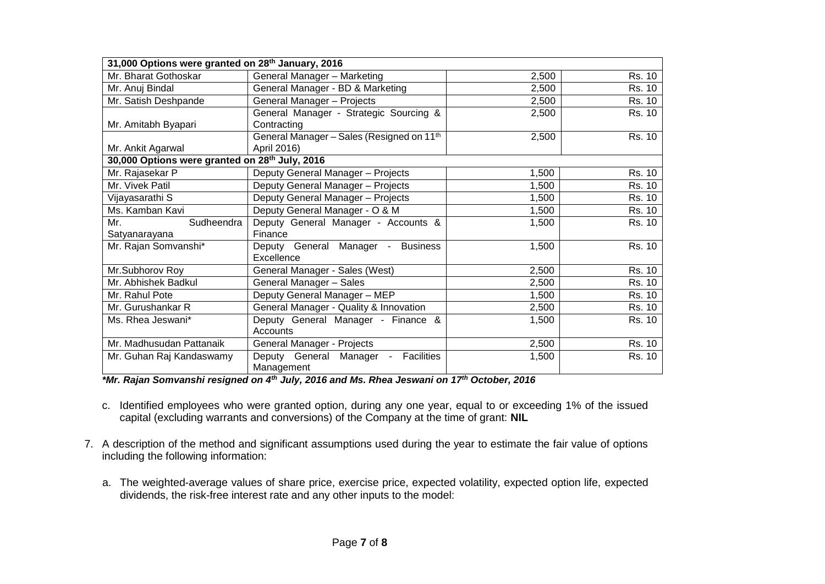| 31,000 Options were granted on 28 <sup>th</sup> January, 2016 |                                                           |       |        |
|---------------------------------------------------------------|-----------------------------------------------------------|-------|--------|
| Mr. Bharat Gothoskar                                          | <b>General Manager - Marketing</b>                        | 2,500 | Rs. 10 |
| Mr. Anuj Bindal                                               | General Manager - BD & Marketing                          | 2,500 | Rs. 10 |
| Mr. Satish Deshpande                                          | General Manager - Projects                                | 2,500 | Rs. 10 |
|                                                               | General Manager - Strategic Sourcing &                    | 2,500 | Rs. 10 |
| Mr. Amitabh Byapari                                           | Contracting                                               |       |        |
|                                                               | General Manager - Sales (Resigned on 11th                 | 2,500 | Rs. 10 |
| Mr. Ankit Agarwal                                             | April 2016)                                               |       |        |
| 30,000 Options were granted on 28 <sup>th</sup> July, 2016    |                                                           |       |        |
| Mr. Rajasekar P                                               | Deputy General Manager - Projects                         | 1,500 | Rs. 10 |
| Mr. Vivek Patil                                               | Deputy General Manager - Projects                         | 1,500 | Rs. 10 |
| Vijayasarathi S                                               | Deputy General Manager - Projects                         | 1,500 | Rs. 10 |
| Ms. Kamban Kavi                                               | Deputy General Manager - O & M                            | 1,500 | Rs. 10 |
| Sudheendra<br>Mr.                                             | Deputy General Manager - Accounts &                       | 1,500 | Rs. 10 |
| Satyanarayana                                                 | Finance                                                   |       |        |
| Mr. Rajan Somvanshi*                                          | <b>Business</b><br>Deputy General Manager -<br>Excellence | 1,500 | Rs. 10 |
| Mr.Subhorov Roy                                               | General Manager - Sales (West)                            | 2,500 | Rs. 10 |
| Mr. Abhishek Badkul                                           | General Manager - Sales                                   | 2,500 | Rs. 10 |
| Mr. Rahul Pote                                                | Deputy General Manager - MEP                              | 1,500 | Rs. 10 |
| Mr. Gurushankar R                                             | General Manager - Quality & Innovation                    | 2,500 | Rs. 10 |
| Ms. Rhea Jeswani*                                             | Deputy General Manager - Finance &                        | 1,500 | Rs. 10 |
|                                                               | Accounts                                                  |       |        |
| Mr. Madhusudan Pattanaik                                      | General Manager - Projects                                | 2,500 | Rs. 10 |
| Mr. Guhan Raj Kandaswamy                                      | Deputy General Manager - Facilities                       | 1,500 | Rs. 10 |
|                                                               | Management                                                |       |        |

*\*Mr. Rajan Somvanshi resigned on 4th July, 2016 and Ms. Rhea Jeswani on 17th October, 2016*

- c. Identified employees who were granted option, during any one year, equal to or exceeding 1% of the issued capital (excluding warrants and conversions) of the Company at the time of grant: **NIL**
- 7. A description of the method and significant assumptions used during the year to estimate the fair value of options including the following information:
	- a. The weighted-average values of share price, exercise price, expected volatility, expected option life, expected dividends, the risk-free interest rate and any other inputs to the model: